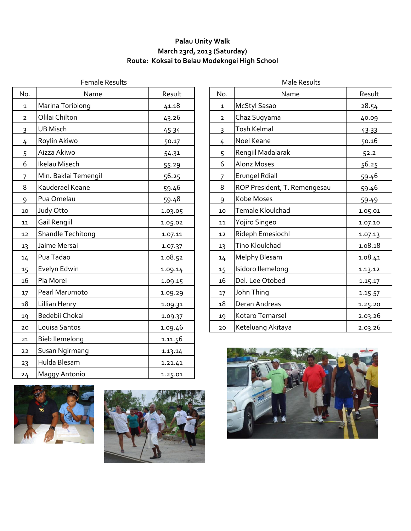## **Palau Unity Walk March 23rd, 2013 (Saturday) Route: Koksai to Belau Modekngei High School**

|                | Female Results           |         |                | Male Results                 |         |
|----------------|--------------------------|---------|----------------|------------------------------|---------|
| No.            | Name                     | Result  | No.            | Name                         | Result  |
| $\mathbf{1}$   | Marina Toribiong         | 41.18   | $\mathbf{1}$   | McStyl Sasao                 | 28.54   |
| $\overline{2}$ | Olilai Chilton           | 43.26   | $\overline{2}$ | Chaz Sugyama                 | 40.09   |
| $\mathsf{3}$   | <b>UB Misch</b>          | 45.34   | $\overline{3}$ | <b>Tosh Kelmal</b>           | 43.33   |
| 4              | Roylin Akiwo             | 50.17   | 4              | Noel Keane                   | 50.16   |
| 5              | Aizza Akiwo              | 54.31   | 5              | Rengiil Madalarak            | 52.2    |
| 6              | Ikelau Misech            | 55.29   | 6              | <b>Alonz Moses</b>           | 56.25   |
| $\overline{7}$ | Min. Baklai Temengil     | 56.25   | $\overline{7}$ | <b>Erungel Rdiall</b>        | 59.46   |
| 8              | Kauderael Keane          | 59.46   | 8              | ROP President, T. Remengesau | 59.46   |
| 9              | Pua Omelau               | 59.48   | 9              | Kobe Moses                   | 59.49   |
| 10             | Judy Otto                | 1.03.05 | 10             | Temale Kloulchad             | 1.05.01 |
| 11             | Gail Rengiil             | 1.05.02 | 11             | Yojiro Singeo                | 1.07.10 |
| 12             | <b>Shandle Techitong</b> | 1.07.11 | 12             | Rideph Emesiochl             | 1.07.13 |
| 13             | Jaime Mersai             | 1.07.37 | 13             | Tino Kloulchad               | 1.08.18 |
| 14             | Pua Tadao                | 1.08.52 | 14             | <b>Melphy Blesam</b>         | 1.08.41 |
| 15             | Evelyn Edwin             | 1.09.14 | 15             | Isidoro Ilemelong            | 1.13.12 |
| 16             | Pia Morei                | 1.09.15 | 16             | Del. Lee Otobed              | 1.15.17 |
| 17             | Pearl Marumoto           | 1.09.29 | 17             | John Thing                   | 1.15.57 |
| 18             | Lillian Henry            | 1.09.31 | 18             | Deran Andreas                | 1.25.20 |
| 19             | Bedebii Chokai           | 1.09.37 | 19             | Kotaro Temarsel              | 2.03.26 |
| 20             | Louisa Santos            | 1.09.46 | 20             | Keteluang Akitaya            | 2.03.26 |
| 21             | <b>Bieb Ilemelong</b>    | 1.11.56 |                |                              |         |
| 22             | Susan Ngirmang           | 1.13.14 |                |                              |         |
| 23             | Hulda Blesam             | 1.21.41 |                |                              |         |
| 24             | Maggy Antonio            | 1.25.01 |                |                              |         |



| No.          | Name                         | Result  |
|--------------|------------------------------|---------|
| $\mathbf{1}$ | McStyl Sasao                 | 28.54   |
| 2            | Chaz Sugyama                 | 40.09   |
| 3            | Tosh Kelmal                  | 43.33   |
| 4            | Noel Keane                   | 50.16   |
| 5            | Rengiil Madalarak            | 52.2    |
| 6            | <b>Alonz Moses</b>           | 56.25   |
| 7            | Erungel Rdiall               | 59.46   |
| 8            | ROP President, T. Remengesau | 59.46   |
| 9            | Kobe Moses                   | 59.49   |
| 10           | Temale Kloulchad             | 1.05.01 |
| 11           | Yojiro Singeo                | 1.07.10 |
| 12           | Rideph Emesiochl             | 1.07.13 |
| 13           | Tino Kloulchad               | 1.08.18 |
| 14           | Melphy Blesam                | 1.08.41 |
| 15           | Isidoro Ilemelong            | 1.13.12 |
| 16           | Del. Lee Otobed              | 1.15.17 |
| 17           | John Thing                   | 1.15.57 |
| 18           | Deran Andreas                | 1.25.20 |
| 19           | Kotaro Temarsel              | 2.03.26 |
| 20           | Keteluang Akitaya            | 2.03.26 |

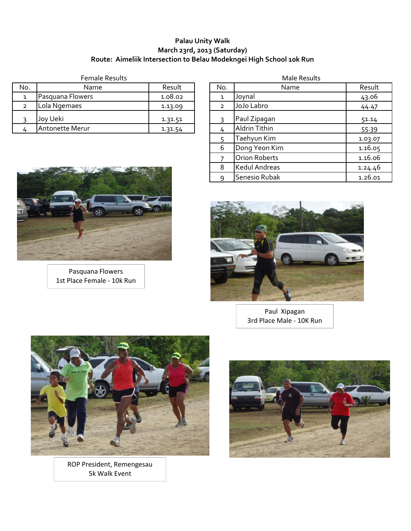## **Palau Unity Walk March 23rd, 2013 (Saturday) Route: Aimeliik Intersection to Belau Modekngei High School 10k Run**

| Female Results |                  |         | Male Results |                      |        |  |
|----------------|------------------|---------|--------------|----------------------|--------|--|
| No.            | Name             | Result  | No.          | Name                 | Result |  |
|                | Pasquana Flowers | 1.08.02 | ◄            | Jovnal               | 43.06  |  |
| 2              | Lola Ngemaes     | 1.13.09 |              | JoJo Labro           | 44.47  |  |
|                | Joy Ueki         | 1.31.51 |              | Paul Zipagan         | 51.14  |  |
|                | Antonette Merur  | 1.31.54 | 4            | <b>Aldrin Tithin</b> | 55.39  |  |
|                |                  |         |              |                      |        |  |

3 Paul Zipagan 51.14 5 Taehyun Kim 1.03.07 6 Dong Yeon Kim 1.16.05 7 Orion Roberts 1.16.06 8 | Kedul Andreas 1.24.46 9 Senesio Rubak 1.26.01 Male Results



Pasquana Flowers 1st Place Female - 10k Run



Paul Xipagan 3rd Place Male - 10K Run



ROP President, Remengesau 5k Walk Event